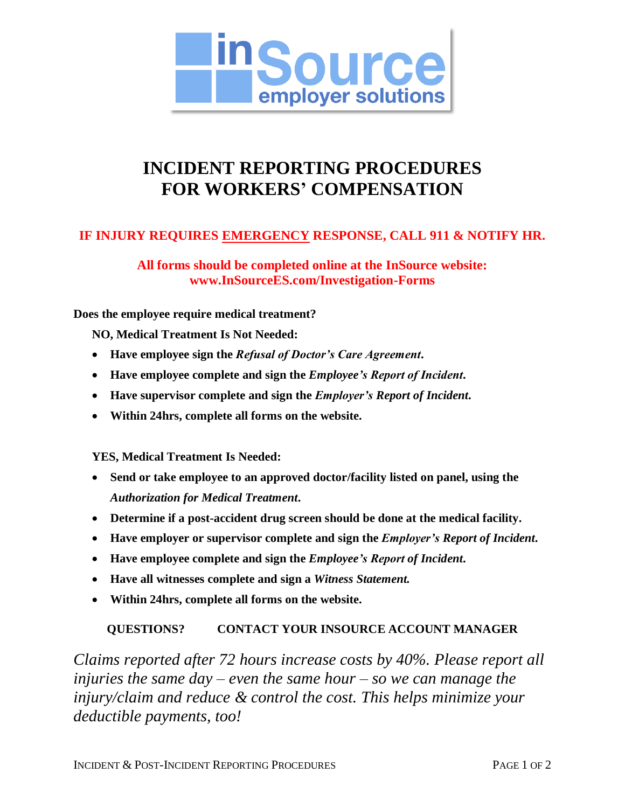

# **INCIDENT REPORTING PROCEDURES FOR WORKERS' COMPENSATION**

### **IF INJURY REQUIRES EMERGENCY RESPONSE, CALL 911 & NOTIFY HR.**

**All forms should be completed online at the InSource website: www.InSourceES.com/Investigation-Forms**

#### **Does the employee require medical treatment?**

**NO, Medical Treatment Is Not Needed:**

- **Have employee sign the** *Refusal of Doctor's Care Agreement***.**
- **Have employee complete and sign the** *Employee's Report of Incident***.**
- **Have supervisor complete and sign the** *Employer's Report of Incident***.**
- **Within 24hrs, complete all forms on the website.**

**YES, Medical Treatment Is Needed:**

- **Send or take employee to an approved doctor/facility listed on panel, using the**  *Authorization for Medical Treatment***.**
- **Determine if a post-accident drug screen should be done at the medical facility.**
- **Have employer or supervisor complete and sign the** *Employer's Report of Incident***.**
- **Have employee complete and sign the** *Employee's Report of Incident***.**
- **Have all witnesses complete and sign a** *Witness Statement.*
- **Within 24hrs, complete all forms on the website.**

#### **QUESTIONS? CONTACT YOUR INSOURCE ACCOUNT MANAGER**

*Claims reported after 72 hours increase costs by 40%. Please report all injuries the same day – even the same hour – so we can manage the injury/claim and reduce & control the cost. This helps minimize your deductible payments, too!*